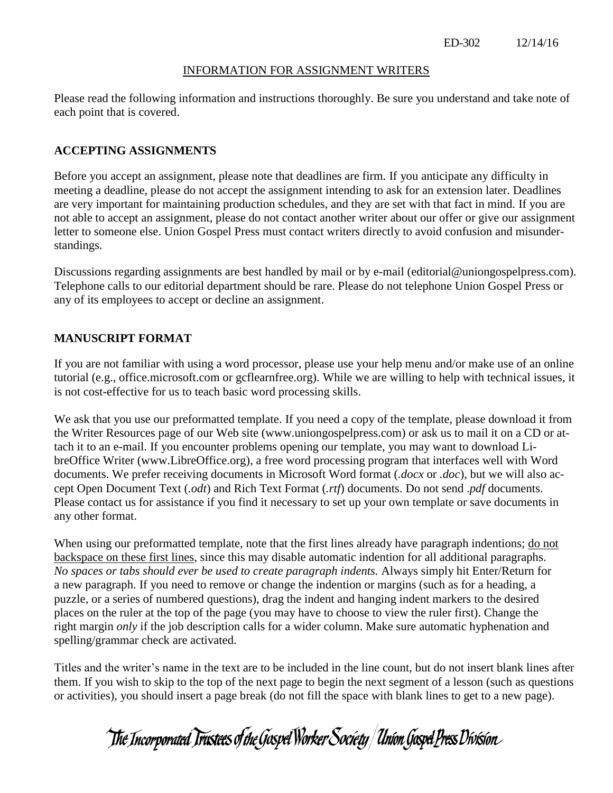### INFORMATION FOR ASSIGNMENT WRITERS

Please read the following information and instructions thoroughly. Be sure you understand and take note of each point that is covered.

## **ACCEPTING ASSIGNMENTS**

Before you accept an assignment, please note that deadlines are firm. If you anticipate any difficulty in meeting a deadline, please do not accept the assignment intending to ask for an extension later. Deadlines are very important for maintaining production schedules, and they are set with that fact in mind. If you are not able to accept an assignment, please do not contact another writer about our offer or give our assignment letter to someone else. Union Gospel Press must contact writers directly to avoid confusion and misunderstandings.

Discussions regarding assignments are best handled by mail or by e-mail (editorial@uniongospelpress.com). Telephone calls to our editorial department should be rare. Please do not telephone Union Gospel Press or any of its employees to accept or decline an assignment.

# **MANUSCRIPT FORMAT**

If you are not familiar with using a word processor, please use your help menu and/or make use of an online tutorial (e.g., office.microsoft.com or gcflearnfree.org). While we are willing to help with technical issues, it is not cost-effective for us to teach basic word processing skills.

We ask that you use our preformatted template. If you need a copy of the template, please download it from the Writer Resources page of our Web site [\(www.uniongospelpress.com\)](http://www.uniongospelpress.com/) or ask us to mail it on a CD or attach it to an e-mail. If you encounter problems opening our template, you may want to download LibreOffice Writer (www.LibreOffice.org), a free word processing program that interfaces well with Word documents. We prefer receiving documents in Microsoft Word format (*.docx* or *.doc*), but we will also accept Open Document Text (*.odt*) and Rich Text Format (*.rtf*) documents. Do not send .*pdf* documents. Please contact us for assistance if you find it necessary to set up your own template or save documents in any other format.

When using our preformatted template, note that the first lines already have paragraph indentions; do not backspace on these first lines, since this may disable automatic indention for all additional paragraphs. *No spaces or tabs should ever be used to create paragraph indents.* Always simply hit Enter/Return for a new paragraph. If you need to remove or change the indention or margins (such as for a heading, a puzzle, or a series of numbered questions), drag the indent and hanging indent markers to the desired places on the ruler at the top of the page (you may have to choose to view the ruler first). Change the right margin *only* if the job description calls for a wider column. Make sure automatic hyphenation and spelling/grammar check are activated.

Titles and the writer's name in the text are to be included in the line count, but do not insert blank lines after them. If you wish to skip to the top of the next page to begin the next segment of a lesson (such as questions or activities), you should insert a page break (do not fill the space with blank lines to get to a new page).

The Incorporated Trustees of the Gospel Worker Society | Union Gospel Press Division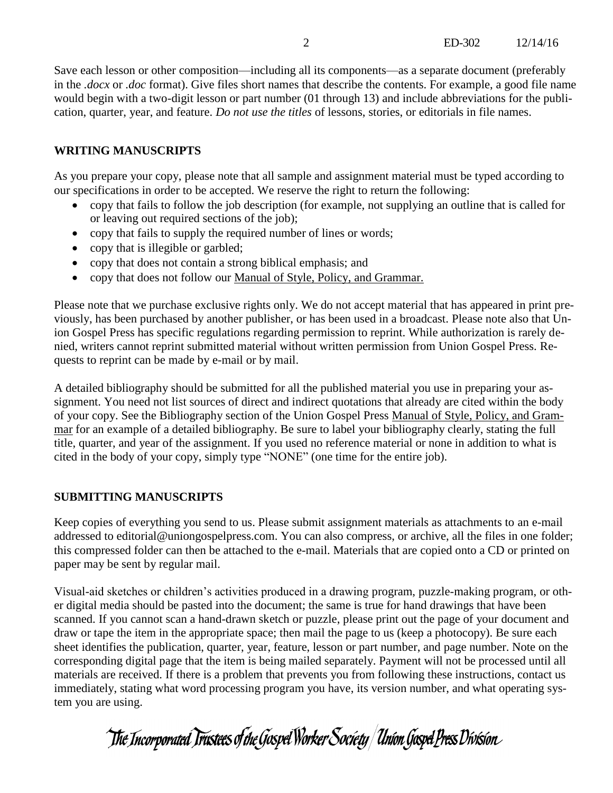Save each lesson or other composition—including all its components—as a separate document (preferably in the *.docx* or *.doc* format). Give files short names that describe the contents. For example, a good file name would begin with a two-digit lesson or part number (01 through 13) and include abbreviations for the publication, quarter, year, and feature. *Do not use the titles* of lessons, stories, or editorials in file names.

## **WRITING MANUSCRIPTS**

As you prepare your copy, please note that all sample and assignment material must be typed according to our specifications in order to be accepted. We reserve the right to return the following:

- copy that fails to follow the job description (for example, not supplying an outline that is called for or leaving out required sections of the job);
- copy that fails to supply the required number of lines or words;
- copy that is illegible or garbled;
- copy that does not contain a strong biblical emphasis; and
- copy that does not follow our Manual of Style, Policy, and Grammar.

Please note that we purchase exclusive rights only. We do not accept material that has appeared in print previously, has been purchased by another publisher, or has been used in a broadcast. Please note also that Union Gospel Press has specific regulations regarding permission to reprint. While authorization is rarely denied, writers cannot reprint submitted material without written permission from Union Gospel Press. Requests to reprint can be made by e-mail or by mail.

A detailed bibliography should be submitted for all the published material you use in preparing your assignment. You need not list sources of direct and indirect quotations that already are cited within the body of your copy. See the Bibliography section of the Union Gospel Press Manual of Style, Policy, and Grammar for an example of a detailed bibliography. Be sure to label your bibliography clearly, stating the full title, quarter, and year of the assignment. If you used no reference material or none in addition to what is cited in the body of your copy, simply type "NONE" (one time for the entire job).

### **SUBMITTING MANUSCRIPTS**

Keep copies of everything you send to us. Please submit assignment materials as attachments to an e-mail addressed to editorial@uniongospelpress.com. You can also compress, or archive, all the files in one folder; this compressed folder can then be attached to the e-mail. Materials that are copied onto a CD or printed on paper may be sent by regular mail.

Visual-aid sketches or children's activities produced in a drawing program, puzzle-making program, or other digital media should be pasted into the document; the same is true for hand drawings that have been scanned. If you cannot scan a hand-drawn sketch or puzzle, please print out the page of your document and draw or tape the item in the appropriate space; then mail the page to us (keep a photocopy). Be sure each sheet identifies the publication, quarter, year, feature, lesson or part number, and page number. Note on the corresponding digital page that the item is being mailed separately. Payment will not be processed until all materials are received. If there is a problem that prevents you from following these instructions, contact us immediately, stating what word processing program you have, its version number, and what operating system you are using.

The Incorporated Trustees of the Gospel Worker Society | Union Gospel Press Division